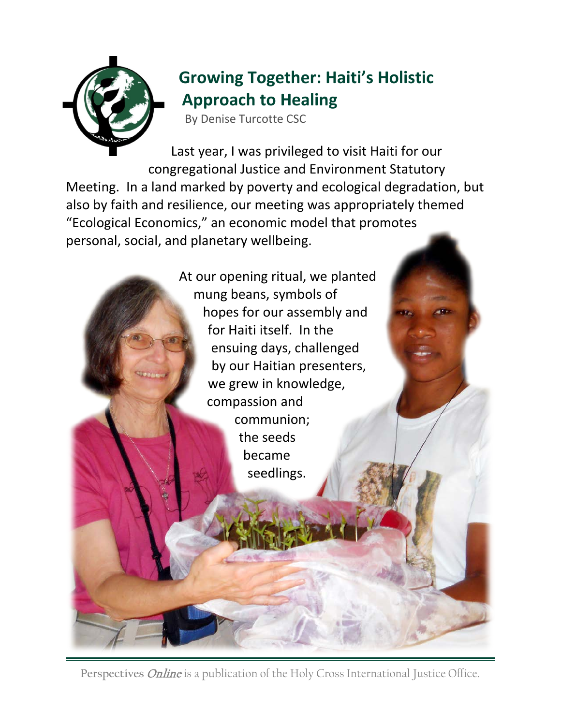

## **Growing Together: Haiti's Holistic Approach to Healing**

By Denise Turcotte CSC

Last year, I was privileged to visit Haiti for our congregational Justice and Environment Statutory Meeting. In a land marked by poverty and ecological degradation, but also by faith and resilience, our meeting was appropriately themed "Ecological Economics," an economic model that promotes personal, social, and planetary wellbeing.



Perspectives *Online* is a publication of the Holy Cross International Justice Office.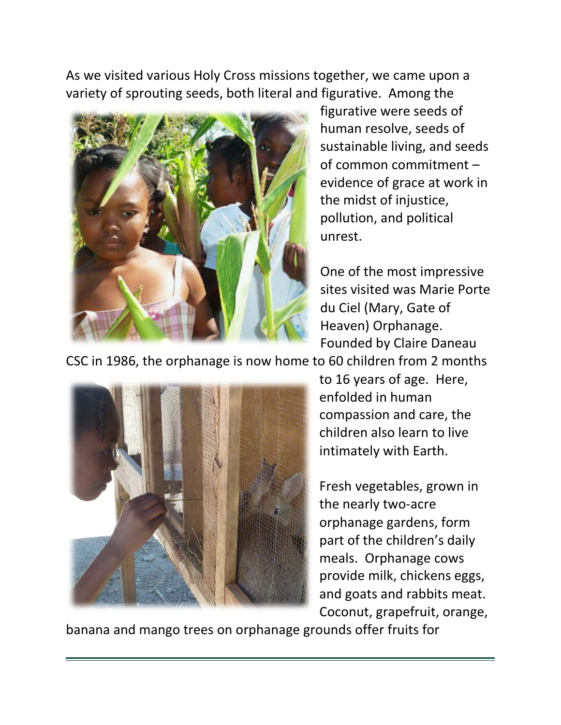As we visited various Holy Cross missions together, we came upon a variety of sprouting seeds, both literal and figurative. Among the



figurative were seeds of human resolve, seeds of sustainable living, and seeds of common commitment – evidence of grace at work in the midst of injustice, pollution, and political unrest.

One of the most impressive sites visited was Marie Porte du Ciel (Mary, Gate of Heaven) Orphanage. Founded by Claire Daneau

CSC in 1986, the orphanage is now home to 60 children from 2 months



to 16 years of age. Here, enfolded in human compassion and care, the children also learn to live intimately with Earth.

Fresh vegetables, grown in the nearly two-acre orphanage gardens, form part of the children's daily meals. Orphanage cows provide milk, chickens eggs, and goats and rabbits meat. Coconut, grapefruit, orange,

banana and mango trees on orphanage grounds offer fruits for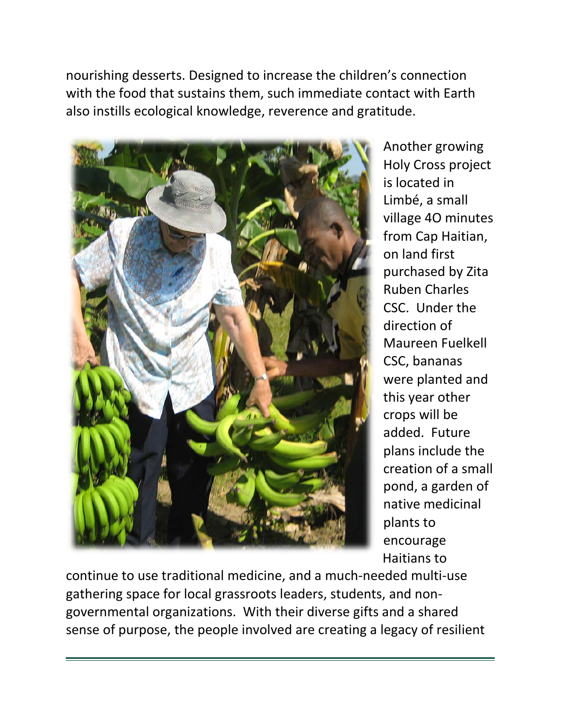nourishing desserts. Designed to increase the children's connection with the food that sustains them, such immediate contact with Earth also instills ecological knowledge, reverence and gratitude.



Another growing Holy Cross project is located in Limbé, a small village 4O minutes from Cap Haitian, on land first purchased by Zita Ruben Charles CSC. Under the direction of Maureen Fuelkell CSC, bananas were planted and this year other crops will be added. Future plans include the creation of a small pond, a garden of native medicinal plants to encourage Haitians to

continue to use traditional medicine, and a much-needed multi-use gathering space for local grassroots leaders, students, and nongovernmental organizations. With their diverse gifts and a shared sense of purpose, the people involved are creating a legacy of resilient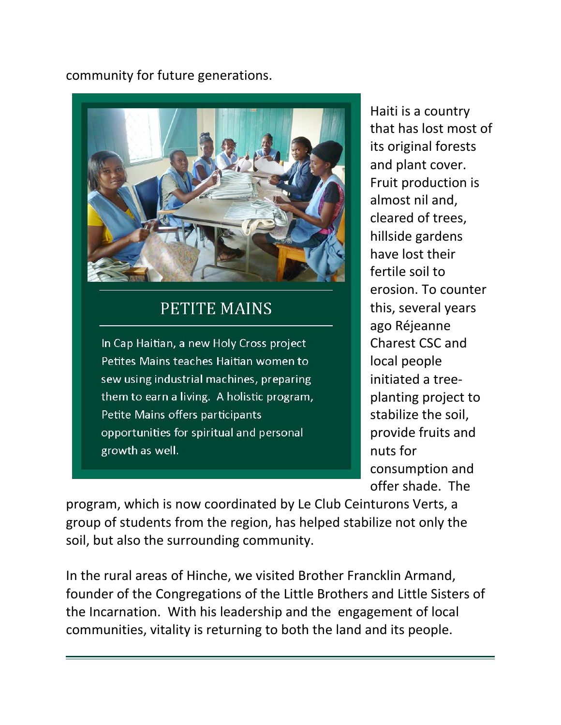## community for future generations.



## **PETITE MAINS**

In Cap Haitian, a new Holy Cross project Petites Mains teaches Haitian women to sew using industrial machines, preparing them to earn a living. A holistic program, Petite Mains offers participants opportunities for spiritual and personal growth as well.

Haiti is a country that has lost most of its original forests and plant cover. Fruit production is almost nil and, cleared of trees, hillside gardens have lost their fertile soil to erosion. To counter this, several years ago Réjeanne Charest CSC and local people initiated a treeplanting project to stabilize the soil, provide fruits and nuts for consumption and offer shade. The

program, which is now coordinated by Le Club Ceinturons Verts, a group of students from the region, has helped stabilize not only the soil, but also the surrounding community.

In the rural areas of Hinche, we visited Brother Francklin Armand, founder of the Congregations of the Little Brothers and Little Sisters of the Incarnation. With his leadership and the engagement of local communities, vitality is returning to both the land and its people.